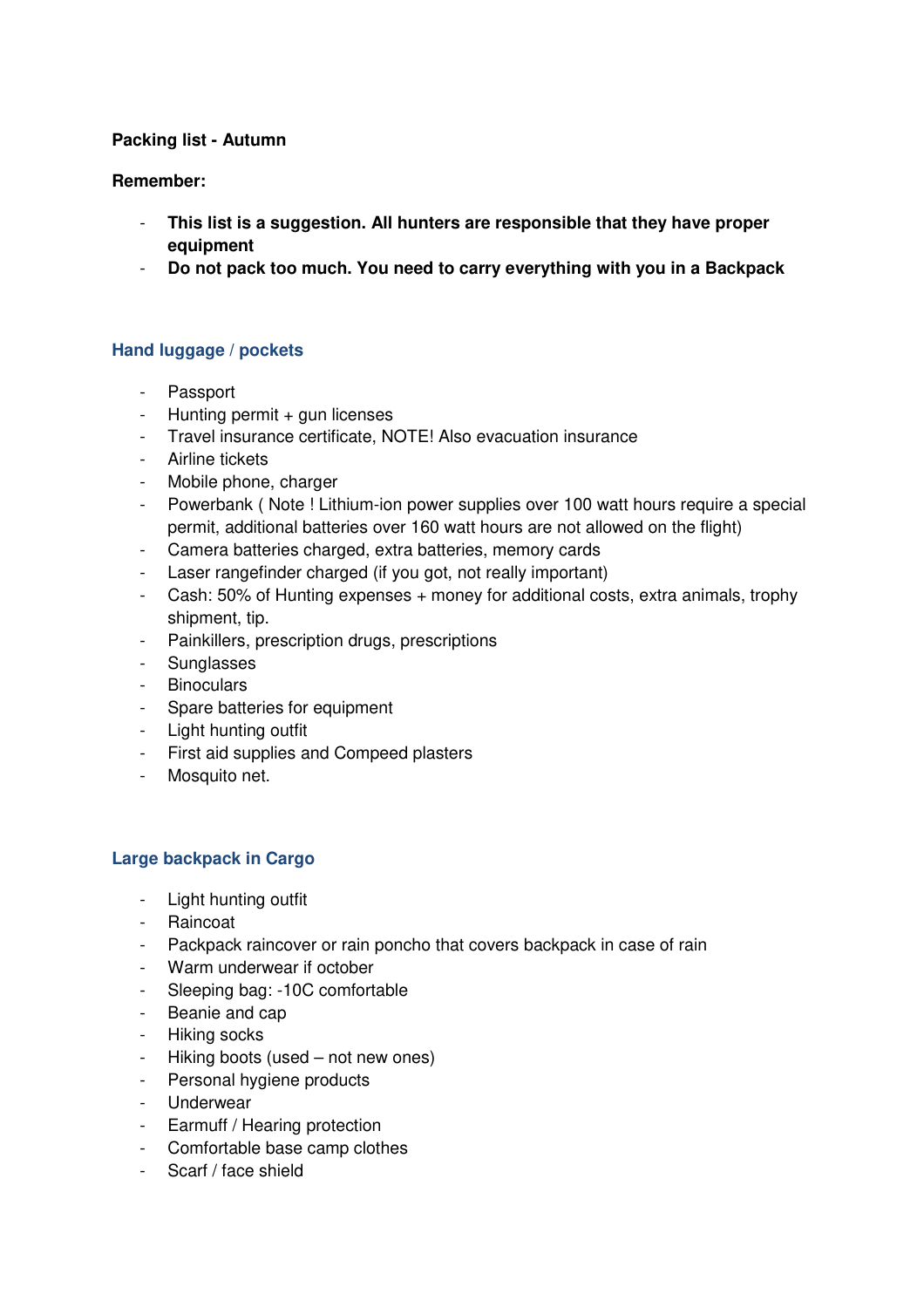# **Packing list - Autumn**

## **Remember:**

- **This list is a suggestion. All hunters are responsible that they have proper equipment**
- **Do not pack too much. You need to carry everything with you in a Backpack**

## **Hand luggage / pockets**

- Passport
- Hunting permit + gun licenses
- Travel insurance certificate, NOTE! Also evacuation insurance
- Airline tickets
- Mobile phone, charger
- Powerbank ( Note ! Lithium-ion power supplies over 100 watt hours require a special permit, additional batteries over 160 watt hours are not allowed on the flight)
- Camera batteries charged, extra batteries, memory cards
- Laser rangefinder charged (if you got, not really important)
- Cash: 50% of Hunting expenses + money for additional costs, extra animals, trophy shipment, tip.
- Painkillers, prescription drugs, prescriptions
- **Sunglasses**
- Binoculars
- Spare batteries for equipment
- Light hunting outfit
- First aid supplies and Compeed plasters
- Mosquito net.

#### **Large backpack in Cargo**

- Light hunting outfit
- Raincoat
- Packpack raincover or rain poncho that covers backpack in case of rain
- Warm underwear if october
- Sleeping bag: -10C comfortable
- Beanie and cap
- Hiking socks
- Hiking boots (used not new ones)
- Personal hygiene products
- **Underwear**
- Earmuff / Hearing protection
- Comfortable base camp clothes
- Scarf / face shield